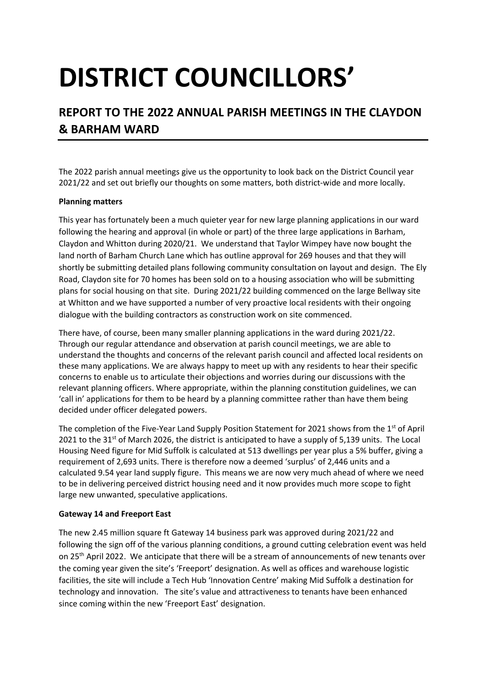# **DISTRICT COUNCILLORS'**

## **REPORT TO THE 2022 ANNUAL PARISH MEETINGS IN THE CLAYDON & BARHAM WARD**

The 2022 parish annual meetings give us the opportunity to look back on the District Council year 2021/22 and set out briefly our thoughts on some matters, both district-wide and more locally.

#### **Planning matters**

This year has fortunately been a much quieter year for new large planning applications in our ward following the hearing and approval (in whole or part) of the three large applications in Barham, Claydon and Whitton during 2020/21. We understand that Taylor Wimpey have now bought the land north of Barham Church Lane which has outline approval for 269 houses and that they will shortly be submitting detailed plans following community consultation on layout and design. The Ely Road, Claydon site for 70 homes has been sold on to a housing association who will be submitting plans for social housing on that site. During 2021/22 building commenced on the large Bellway site at Whitton and we have supported a number of very proactive local residents with their ongoing dialogue with the building contractors as construction work on site commenced.

There have, of course, been many smaller planning applications in the ward during 2021/22. Through our regular attendance and observation at parish council meetings, we are able to understand the thoughts and concerns of the relevant parish council and affected local residents on these many applications. We are always happy to meet up with any residents to hear their specific concerns to enable us to articulate their objections and worries during our discussions with the relevant planning officers. Where appropriate, within the planning constitution guidelines, we can 'call in' applications for them to be heard by a planning committee rather than have them being decided under officer delegated powers.

The completion of the Five-Year Land Supply Position Statement for 2021 shows from the 1<sup>st</sup> of April 2021 to the 31<sup>st</sup> of March 2026, the district is anticipated to have a supply of 5,139 units. The Local Housing Need figure for Mid Suffolk is calculated at 513 dwellings per year plus a 5% buffer, giving a requirement of 2,693 units. There is therefore now a deemed 'surplus' of 2,446 units and a calculated 9.54 year land supply figure. This means we are now very much ahead of where we need to be in delivering perceived district housing need and it now provides much more scope to fight large new unwanted, speculative applications.

#### **Gateway 14 and Freeport East**

The new 2.45 million square ft Gateway 14 business park was approved during 2021/22 and following the sign off of the various planning conditions, a ground cutting celebration event was held on 25<sup>th</sup> April 2022. We anticipate that there will be a stream of announcements of new tenants over the coming year given the site's 'Freeport' designation. As well as offices and warehouse logistic facilities, the site will include a Tech Hub 'Innovation Centre' making Mid Suffolk a destination for technology and innovation. The site's value and attractiveness to tenants have been enhanced since coming within the new 'Freeport East' designation.